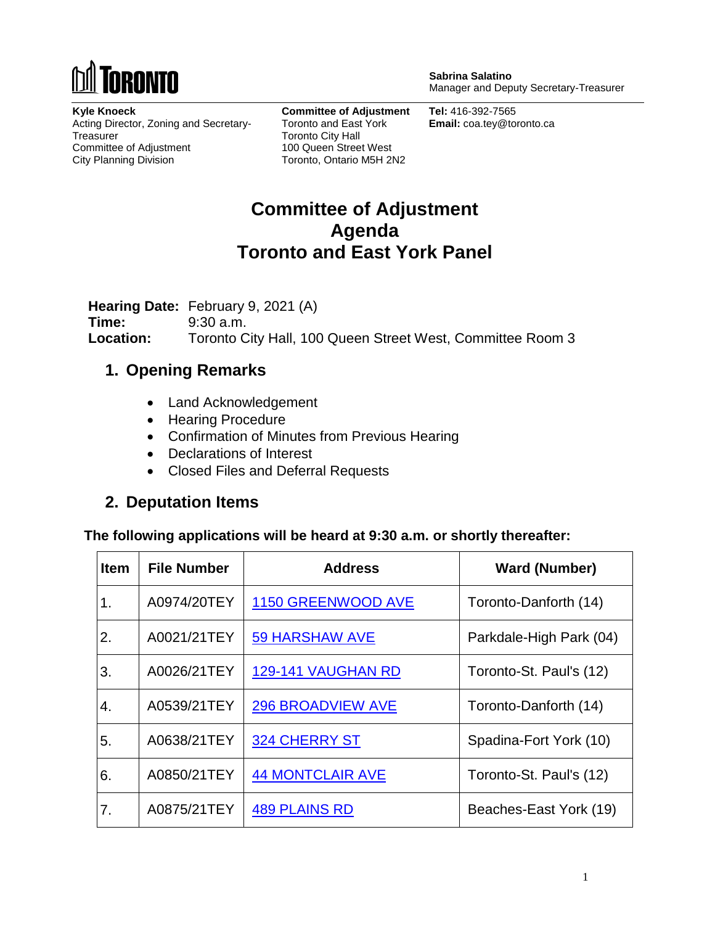

**Sabrina Salatino** Manager and Deputy Secretary-Treasurer

**Kyle Knoeck** Acting Director, Zoning and Secretary-**Treasurer** Committee of Adjustment City Planning Division

**Committee of Adjustment** Toronto and East York Toronto City Hall 100 Queen Street West Toronto, Ontario M5H 2N2

**Tel:** 416-392-7565 **Email:** coa.tey@toronto.ca

## **Committee of Adjustment Agenda Toronto and East York Panel**

**Hearing Date:** February 9, 2021 (A) **Time:** 9:30 a.m. **Location:** Toronto City Hall, 100 Queen Street West, Committee Room 3

## **1. Opening Remarks**

- Land Acknowledgement
- Hearing Procedure
- Confirmation of Minutes from Previous Hearing
- Declarations of Interest
- Closed Files and Deferral Requests

## **2. Deputation Items**

**The following applications will be heard at 9:30 a.m. or shortly thereafter:**

| <b>Item</b> | <b>File Number</b> | <b>Address</b>           | <b>Ward (Number)</b>    |
|-------------|--------------------|--------------------------|-------------------------|
| 1.          | A0974/20TEY        | 1150 GREENWOOD AVE       | Toronto-Danforth (14)   |
| 2.          | A0021/21TEY        | <b>59 HARSHAW AVE</b>    | Parkdale-High Park (04) |
| 3.          | A0026/21TEY        | 129-141 VAUGHAN RD       | Toronto-St. Paul's (12) |
| 4.          | A0539/21TEY        | <b>296 BROADVIEW AVE</b> | Toronto-Danforth (14)   |
| 5.          | A0638/21TEY        | <b>324 CHERRY ST</b>     | Spadina-Fort York (10)  |
| 6.          | A0850/21TEY        | <b>44 MONTCLAIR AVE</b>  | Toronto-St. Paul's (12) |
| 7.          | A0875/21TEY        | <b>489 PLAINS RD</b>     | Beaches-East York (19)  |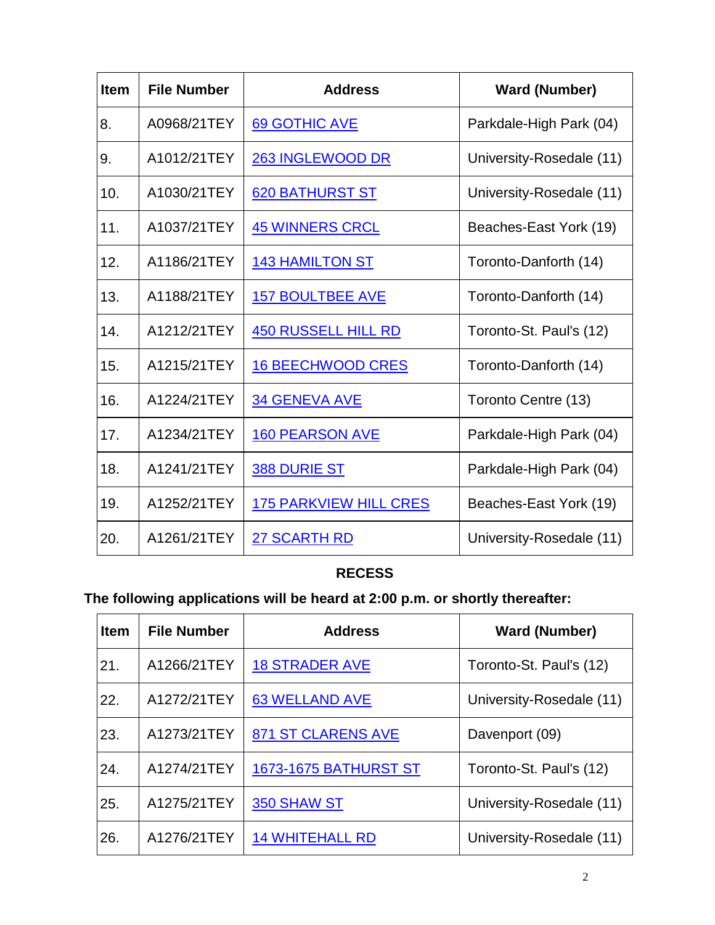| <b>Item</b> | <b>File Number</b> | <b>Address</b>                | <b>Ward (Number)</b>     |
|-------------|--------------------|-------------------------------|--------------------------|
| 8.          | A0968/21TEY        | 69 GOTHIC AVE                 | Parkdale-High Park (04)  |
| 9.          | A1012/21TEY        | 263 INGLEWOOD DR              | University-Rosedale (11) |
| 10.         | A1030/21TEY        | 620 BATHURST ST               | University-Rosedale (11) |
| 11.         | A1037/21TEY        | <b>45 WINNERS CRCL</b>        | Beaches-East York (19)   |
| 12.         | A1186/21TEY        | <b>143 HAMILTON ST</b>        | Toronto-Danforth (14)    |
| 13.         | A1188/21TEY        | <b>157 BOULTBEE AVE</b>       | Toronto-Danforth (14)    |
| 14.         | A1212/21TEY        | <b>450 RUSSELL HILL RD</b>    | Toronto-St. Paul's (12)  |
| 15.         | A1215/21TEY        | <b>16 BEECHWOOD CRES</b>      | Toronto-Danforth (14)    |
| 16.         | A1224/21TEY        | <b>34 GENEVA AVE</b>          | Toronto Centre (13)      |
| 17.         | A1234/21TEY        | <b>160 PEARSON AVE</b>        | Parkdale-High Park (04)  |
| 18.         | A1241/21TEY        | <b>388 DURIE ST</b>           | Parkdale-High Park (04)  |
| 19.         | A1252/21TEY        | <b>175 PARKVIEW HILL CRES</b> | Beaches-East York (19)   |
| 20.         | A1261/21TEY        | 27 SCARTH RD                  | University-Rosedale (11) |

#### **RECESS**

# **The following applications will be heard at 2:00 p.m. or shortly thereafter:**

| <b>Item</b> | <b>File Number</b> | <b>Address</b>               | <b>Ward (Number)</b>     |
|-------------|--------------------|------------------------------|--------------------------|
| 21.         | A1266/21TEY        | <b>18 STRADER AVE</b>        | Toronto-St. Paul's (12)  |
| 22.         | A1272/21TEY        | <b>63 WELLAND AVE</b>        | University-Rosedale (11) |
| 23.         | A1273/21TEY        | 871 ST CLARENS AVE           | Davenport (09)           |
| 24.         | A1274/21TEY        | <b>1673-1675 BATHURST ST</b> | Toronto-St. Paul's (12)  |
| 25.         | A1275/21TEY        | 350 SHAW ST                  | University-Rosedale (11) |
| 26.         | A1276/21TEY        | <b>14 WHITEHALL RD</b>       | University-Rosedale (11) |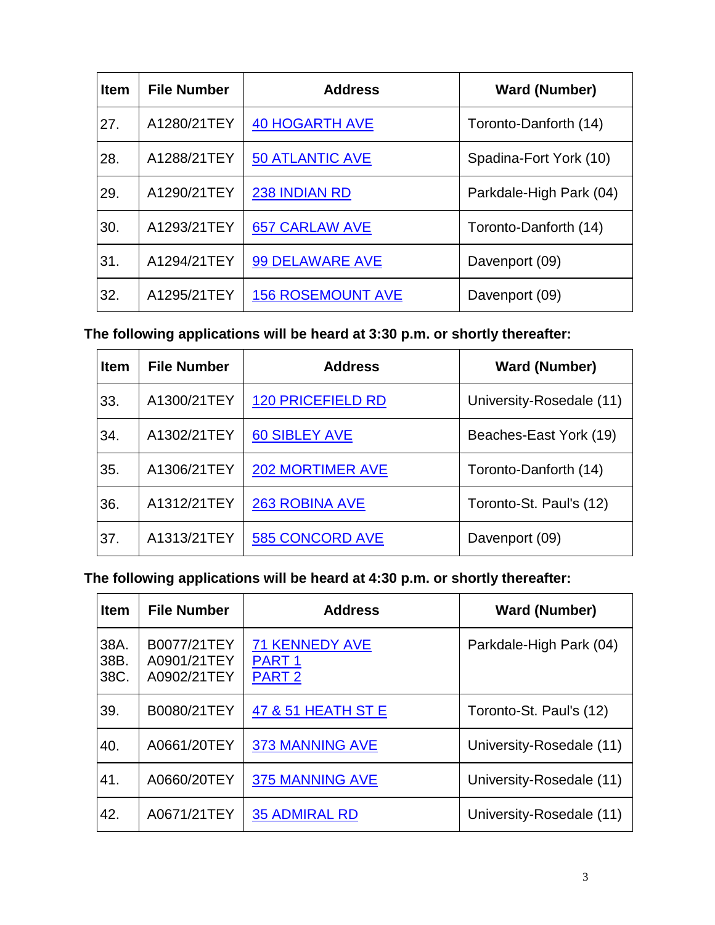| <b>Item</b> | <b>File Number</b> | <b>Address</b>           | <b>Ward (Number)</b>    |
|-------------|--------------------|--------------------------|-------------------------|
| 27.         | A1280/21TEY        | <b>40 HOGARTH AVE</b>    | Toronto-Danforth (14)   |
| 28.         | A1288/21TEY        | <b>50 ATLANTIC AVE</b>   | Spadina-Fort York (10)  |
| 29.         | A1290/21TEY        | 238 INDIAN RD            | Parkdale-High Park (04) |
| 30.         | A1293/21TEY        | <b>657 CARLAW AVE</b>    | Toronto-Danforth (14)   |
| 31.         | A1294/21TEY        | <b>99 DELAWARE AVE</b>   | Davenport (09)          |
| 32.         | A1295/21TEY        | <b>156 ROSEMOUNT AVE</b> | Davenport (09)          |

**The following applications will be heard at 3:30 p.m. or shortly thereafter:**

| <b>Item</b> | <b>File Number</b> | <b>Address</b>           | <b>Ward (Number)</b>     |
|-------------|--------------------|--------------------------|--------------------------|
| 33.         | A1300/21TEY        | <b>120 PRICEFIELD RD</b> | University-Rosedale (11) |
| 34.         | A1302/21TEY        | <b>60 SIBLEY AVE</b>     | Beaches-East York (19)   |
| 35.         | A1306/21TEY        | <b>202 MORTIMER AVE</b>  | Toronto-Danforth (14)    |
| 36.         | A1312/21TEY        | <b>263 ROBINA AVE</b>    | Toronto-St. Paul's (12)  |
| 37.         | A1313/21TEY        | <b>585 CONCORD AVE</b>   | Davenport (09)           |

**The following applications will be heard at 4:30 p.m. or shortly thereafter:**

| <b>Item</b>          | <b>File Number</b>                        | <b>Address</b>                                              | <b>Ward (Number)</b>     |
|----------------------|-------------------------------------------|-------------------------------------------------------------|--------------------------|
| 38A.<br>38B.<br>38C. | B0077/21TEY<br>A0901/21TEY<br>A0902/21TEY | <b>71 KENNEDY AVE</b><br>PART <sub>1</sub><br><b>PART 2</b> | Parkdale-High Park (04)  |
| 39.                  | B0080/21TEY                               | 47 & 51 HEATH ST E                                          | Toronto-St. Paul's (12)  |
| 40.                  | A0661/20TEY                               | <b>373 MANNING AVE</b>                                      | University-Rosedale (11) |
| 41.                  | A0660/20TEY                               | <b>375 MANNING AVE</b>                                      | University-Rosedale (11) |
| 42.                  | A0671/21TEY                               | <b>35 ADMIRAL RD</b>                                        | University-Rosedale (11) |